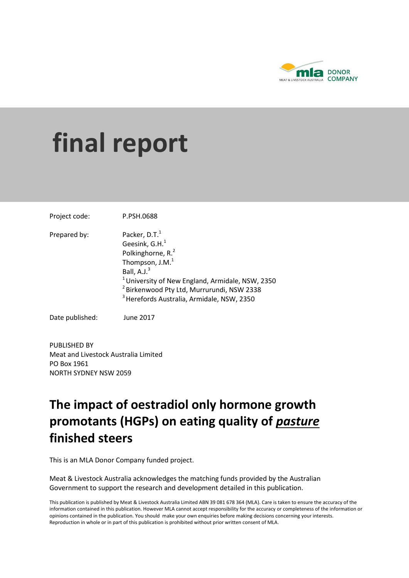

# **final report**

Project code: P.PSH.0688 Prepared by: Packer, D.T.<sup>1</sup> Geesink,  $G.H.<sup>1</sup>$ Polkinghorne, R.<sup>2</sup> Thompson,  $J.M.<sup>1</sup>$ Ball,  $A.J.<sup>3</sup>$  $1$ University of New England, Armidale, NSW, 2350 <sup>2</sup> Birkenwood Pty Ltd, Murrurundi, NSW 2338  $3$  Herefords Australia, Armidale, NSW, 2350

Date published: June 2017

PUBLISHED BY Meat and Livestock Australia Limited PO Box 1961 NORTH SYDNEY NSW 2059

## **The impact of oestradiol only hormone growth promotants (HGPs) on eating quality of** *pasture* **finished steers**

This is an MLA Donor Company funded project.

Meat & Livestock Australia acknowledges the matching funds provided by the Australian Government to support the research and development detailed in this publication.

This publication is published by Meat & Livestock Australia Limited ABN 39 081 678 364 (MLA). Care is taken to ensure the accuracy of the information contained in this publication. However MLA cannot accept responsibility for the accuracy or completeness of the information or opinions contained in the publication. You should make your own enquiries before making decisions concerning your interests. Reproduction in whole or in part of this publication is prohibited without prior written consent of MLA.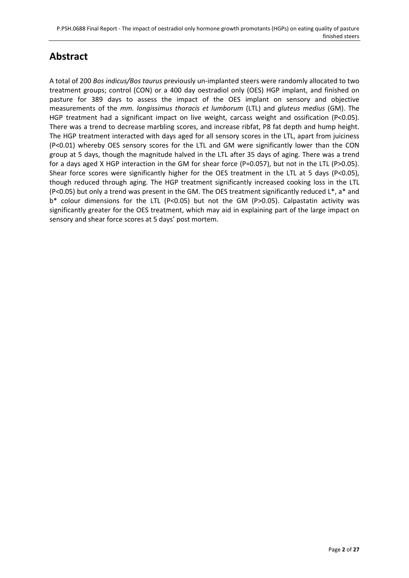## **Abstract**

A total of 200 *Bos indicus/Bos taurus* previously un-implanted steers were randomly allocated to two treatment groups; control (CON) or a 400 day oestradiol only (OES) HGP implant, and finished on pasture for 389 days to assess the impact of the OES implant on sensory and objective measurements of the *mm. longissimus thoracis et lumborum* (LTL) and *gluteus medius* (GM). The HGP treatment had a significant impact on live weight, carcass weight and ossification (P<0.05). There was a trend to decrease marbling scores, and increase ribfat, P8 fat depth and hump height. The HGP treatment interacted with days aged for all sensory scores in the LTL, apart from juiciness (P<0.01) whereby OES sensory scores for the LTL and GM were significantly lower than the CON group at 5 days, though the magnitude halved in the LTL after 35 days of aging. There was a trend for a days aged X HGP interaction in the GM for shear force (P=0.057), but not in the LTL (P>0.05). Shear force scores were significantly higher for the OES treatment in the LTL at 5 days (P<0.05), though reduced through aging. The HGP treatment significantly increased cooking loss in the LTL (P<0.05) but only a trend was present in the GM. The OES treatment significantly reduced L\*, a\* and b\* colour dimensions for the LTL (P<0.05) but not the GM (P>0.05). Calpastatin activity was significantly greater for the OES treatment, which may aid in explaining part of the large impact on sensory and shear force scores at 5 days' post mortem.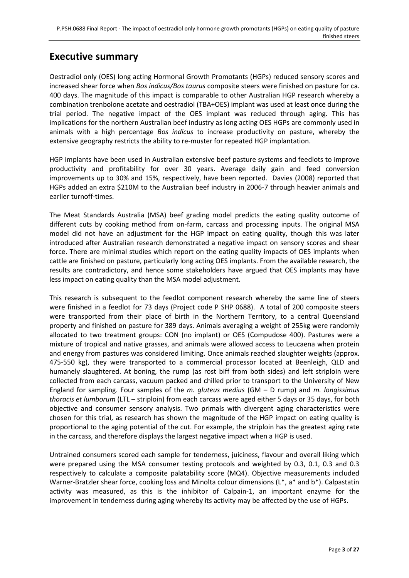## **Executive summary**

Oestradiol only (OES) long acting Hormonal Growth Promotants (HGPs) reduced sensory scores and increased shear force when *Bos indicus/Bos taurus* composite steers were finished on pasture for ca. 400 days. The magnitude of this impact is comparable to other Australian HGP research whereby a combination trenbolone acetate and oestradiol (TBA+OES) implant was used at least once during the trial period. The negative impact of the OES implant was reduced through aging. This has implications for the northern Australian beef industry as long acting OES HGPs are commonly used in animals with a high percentage *Bos indicus* to increase productivity on pasture, whereby the extensive geography restricts the ability to re-muster for repeated HGP implantation.

HGP implants have been used in Australian extensive beef pasture systems and feedlots to improve productivity and profitability for over 30 years. Average daily gain and feed conversion improvements up to 30% and 15%, respectively, have been reported. [Davies \(2008\)](#page-24-0) reported that HGPs added an extra \$210M to the Australian beef industry in 2006-7 through heavier animals and earlier turnoff-times.

The Meat Standards Australia (MSA) beef grading model predicts the eating quality outcome of different cuts by cooking method from on-farm, carcass and processing inputs. The original MSA model did not have an adjustment for the HGP impact on eating quality, though this was later introduced after Australian research demonstrated a negative impact on sensory scores and shear force. There are minimal studies which report on the eating quality impacts of OES implants when cattle are finished on pasture, particularly long acting OES implants. From the available research, the results are contradictory, and hence some stakeholders have argued that OES implants may have less impact on eating quality than the MSA model adjustment.

This research is subsequent to the feedlot component research whereby the same line of steers were finished in a feedlot for 73 days (Project code P SHP 0688). A total of 200 composite steers were transported from their place of birth in the Northern Territory, to a central Queensland property and finished on pasture for 389 days. Animals averaging a weight of 255kg were randomly allocated to two treatment groups: CON (no implant) or OES (Compudose 400). Pastures were a mixture of tropical and native grasses, and animals were allowed access to Leucaena when protein and energy from pastures was considered limiting. Once animals reached slaughter weights (approx. 475-550 kg), they were transported to a commercial processor located at Beenleigh, QLD and humanely slaughtered. At boning, the rump (as rost biff from both sides) and left striploin were collected from each carcass, vacuum packed and chilled prior to transport to the University of New England for sampling. Four samples of the *m. gluteus medius* (GM – D rump) and *m. longissimus thoracis et lumborum* (LTL – striploin) from each carcass were aged either 5 days or 35 days, for both objective and consumer sensory analysis. Two primals with divergent aging characteristics were chosen for this trial, as research has shown the magnitude of the HGP impact on eating quality is proportional to the aging potential of the cut. For example, the striploin has the greatest aging rate in the carcass, and therefore displays the largest negative impact when a HGP is used.

Untrained consumers scored each sample for tenderness, juiciness, flavour and overall liking which were prepared using the MSA consumer testing protocols and weighted by 0.3, 0.1, 0.3 and 0.3 respectively to calculate a composite palatability score (MQ4). Objective measurements included Warner-Bratzler shear force, cooking loss and Minolta colour dimensions (L<sup>\*</sup>, a<sup>\*</sup> and b<sup>\*</sup>). Calpastatin activity was measured, as this is the inhibitor of Calpain-1, an important enzyme for the improvement in tenderness during aging whereby its activity may be affected by the use of HGPs.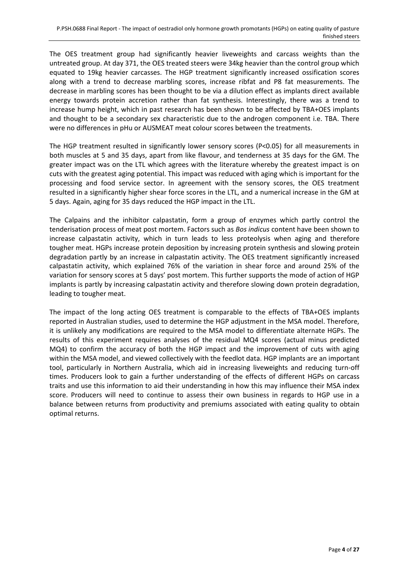The OES treatment group had significantly heavier liveweights and carcass weights than the untreated group. At day 371, the OES treated steers were 34kg heavier than the control group which equated to 19kg heavier carcasses. The HGP treatment significantly increased ossification scores along with a trend to decrease marbling scores, increase ribfat and P8 fat measurements. The decrease in marbling scores has been thought to be via a dilution effect as implants direct available energy towards protein accretion rather than fat synthesis. Interestingly, there was a trend to increase hump height, which in past research has been shown to be affected by TBA+OES implants and thought to be a secondary sex characteristic due to the androgen component i.e. TBA. There were no differences in pHu or AUSMEAT meat colour scores between the treatments.

The HGP treatment resulted in significantly lower sensory scores (P<0.05) for all measurements in both muscles at 5 and 35 days, apart from like flavour, and tenderness at 35 days for the GM. The greater impact was on the LTL which agrees with the literature whereby the greatest impact is on cuts with the greatest aging potential. This impact was reduced with aging which is important for the processing and food service sector. In agreement with the sensory scores, the OES treatment resulted in a significantly higher shear force scores in the LTL, and a numerical increase in the GM at 5 days. Again, aging for 35 days reduced the HGP impact in the LTL.

The Calpains and the inhibitor calpastatin, form a group of enzymes which partly control the tenderisation process of meat post mortem. Factors such as *Bos indicus* content have been shown to increase calpastatin activity, which in turn leads to less proteolysis when aging and therefore tougher meat. HGPs increase protein deposition by increasing protein synthesis and slowing protein degradation partly by an increase in calpastatin activity. The OES treatment significantly increased calpastatin activity, which explained 76% of the variation in shear force and around 25% of the variation for sensory scores at 5 days' post mortem. This further supports the mode of action of HGP implants is partly by increasing calpastatin activity and therefore slowing down protein degradation, leading to tougher meat.

The impact of the long acting OES treatment is comparable to the effects of TBA+OES implants reported in Australian studies, used to determine the HGP adjustment in the MSA model. Therefore, it is unlikely any modifications are required to the MSA model to differentiate alternate HGPs. The results of this experiment requires analyses of the residual MQ4 scores (actual minus predicted MQ4) to confirm the accuracy of both the HGP impact and the improvement of cuts with aging within the MSA model, and viewed collectively with the feedlot data. HGP implants are an important tool, particularly in Northern Australia, which aid in increasing liveweights and reducing turn-off times. Producers look to gain a further understanding of the effects of different HGPs on carcass traits and use this information to aid their understanding in how this may influence their MSA index score. Producers will need to continue to assess their own business in regards to HGP use in a balance between returns from productivity and premiums associated with eating quality to obtain optimal returns.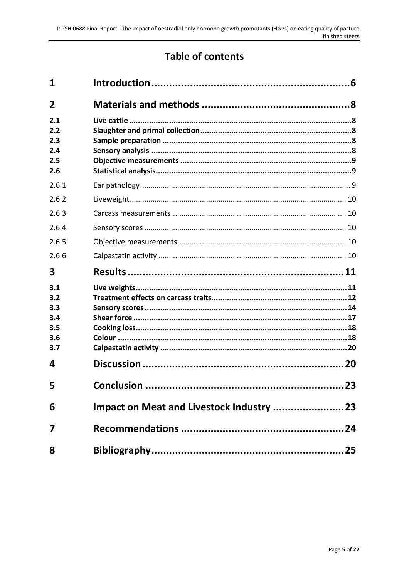## **Table of contents**

| 1                                             |            |    |
|-----------------------------------------------|------------|----|
| $\overline{2}$                                |            |    |
| 2.1<br>2.2<br>2.3<br>2.4<br>2.5<br>2.6        |            |    |
| 2.6.1                                         |            |    |
| 2.6.2                                         |            |    |
| 2.6.3                                         |            |    |
| 2.6.4                                         |            |    |
| 2.6.5                                         |            |    |
| 2.6.6                                         |            |    |
| 3                                             |            |    |
| 3.1<br>3.2<br>3.3<br>3.4<br>3.5<br>3.6<br>3.7 |            |    |
| 4                                             |            |    |
| 5                                             | Conclusion | 23 |
| 6                                             |            |    |
| 7                                             |            |    |
| 8                                             |            |    |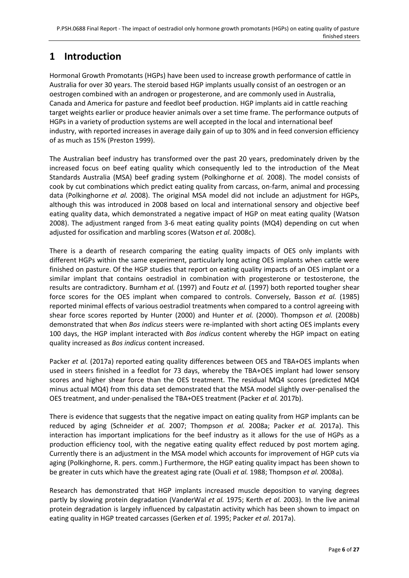## <span id="page-5-0"></span>**1 Introduction**

Hormonal Growth Promotants (HGPs) have been used to increase growth performance of cattle in Australia for over 30 years. The steroid based HGP implants usually consist of an oestrogen or an oestrogen combined with an androgen or progesterone, and are commonly used in Australia, Canada and America for pasture and feedlot beef production. HGP implants aid in cattle reaching target weights earlier or produce heavier animals over a set time frame. The performance outputs of HGPs in a variety of production systems are well accepted in the local and international beef industry, with reported increases in average daily gain of up to 30% and in feed conversion efficiency of as much as 15% [\(Preston 1999\)](#page-25-0).

The Australian beef industry has transformed over the past 20 years, predominately driven by the increased focus on beef eating quality which consequently led to the introduction of the Meat Standards Australia (MSA) beef grading system [\(Polkinghorne](#page-25-1) *et al.* 2008). The model consists of cook by cut combinations which predict eating quality from carcass, on-farm, animal and processing data [\(Polkinghorne](#page-25-1) *et al.* 2008). The original MSA model did not include an adjustment for HGPs, although this was introduced in 2008 based on local and international sensory and objective beef eating quality data, which demonstrated a negative impact of HGP on meat eating quality [\(Watson](#page-26-0)  [2008\)](#page-26-0). The adjustment ranged from 3-6 meat eating quality points (MQ4) depending on cut when adjusted for ossification and marbling scores [\(Watson](#page-26-1) *et al.* 2008c).

There is a dearth of research comparing the eating quality impacts of OES only implants with different HGPs within the same experiment, particularly long acting OES implants when cattle were finished on pasture. Of the HGP studies that report on eating quality impacts of an OES implant or a similar implant that contains oestradiol in combination with progesterone or testosterone, the results are contradictory. [Burnham](#page-24-2) *et al.* (1997) and Foutz *et al.* [\(1997\)](#page-24-3) both reported tougher shear force scores for the OES implant when compared to controls. Conversely, [Basson](#page-24-4) *et al.* (1985) reported minimal effects of various oestradiol treatments when compared to a control agreeing with shear force scores reported by [Hunter \(2000\)](#page-24-5) and [Hunter](#page-24-6) *et al.* (2000). [Thompson](#page-26-2) *et al.* (2008b) demonstrated that when *Bos indicus* steers were re-implanted with short acting OES implants every 100 days, the HGP implant interacted with *Bos indicus* content whereby the HGP impact on eating quality increased as *Bos indicus* content increased.

Packer *et al.* [\(2017a\)](#page-25-2) reported eating quality differences between OES and TBA+OES implants when used in steers finished in a feedlot for 73 days, whereby the TBA+OES implant had lower sensory scores and higher shear force than the OES treatment. The residual MQ4 scores (predicted MQ4 minus actual MQ4) from this data set demonstrated that the MSA model slightly over-penalised the OES treatment, and under-penalised the TBA+OES treatment [\(Packer](#page-25-3) *et al.* 2017b).

There is evidence that suggests that the negative impact on eating quality from HGP implants can be reduced by aging [\(Schneider](#page-25-4) *et al.* 2007; [Thompson](#page-26-3) *et al.* 2008a; [Packer](#page-25-2) *et al.* 2017a). This interaction has important implications for the beef industry as it allows for the use of HGPs as a production efficiency tool, with the negative eating quality effect reduced by post mortem aging. Currently there is an adjustment in the MSA model which accounts for improvement of HGP cuts via aging (Polkinghorne, R. pers. comm.) Furthermore, the HGP eating quality impact has been shown to be greater in cuts which have the greatest aging rate [\(Ouali](#page-25-5) *et al.* 1988[; Thompson](#page-26-3) *et al.* 2008a).

Research has demonstrated that HGP implants increased muscle deposition to varying degrees partly by slowing protein degradation [\(VanderWal](#page-26-4) *et al.* 1975; [Kerth](#page-24-7) *et al.* 2003). In the live animal protein degradation is largely influenced by calpastatin activity which has been shown to impact on eating quality in HGP treated carcasses [\(Gerken](#page-24-8) *et al.* 1995; [Packer](#page-25-2) *et al.* 2017a).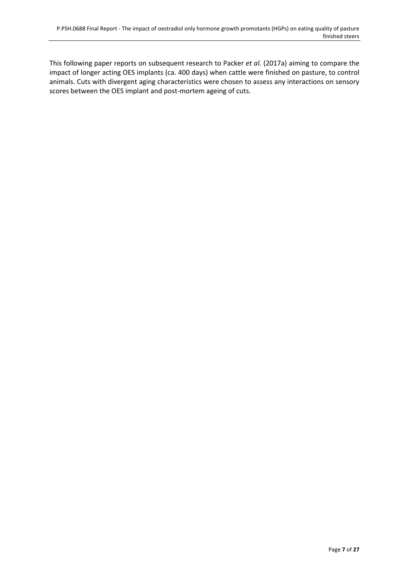This following paper reports on subsequent research to Packer *et al.* [\(2017a\)](#page-25-2) aiming to compare the impact of longer acting OES implants (ca. 400 days) when cattle were finished on pasture, to control animals. Cuts with divergent aging characteristics were chosen to assess any interactions on sensory scores between the OES implant and post-mortem ageing of cuts.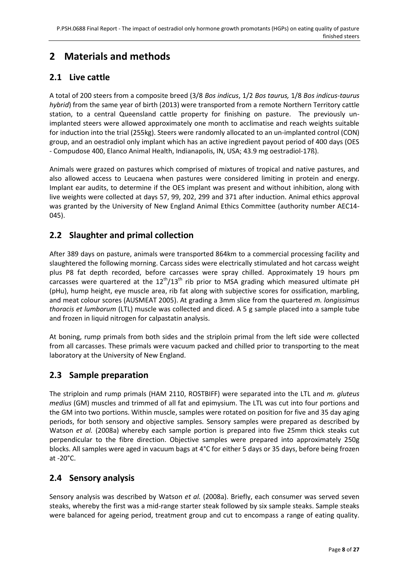## <span id="page-7-0"></span>**2 Materials and methods**

## <span id="page-7-1"></span>**2.1 Live cattle**

A total of 200 steers from a composite breed (3/8 *Bos indicus*, 1/2 *Bos taurus,* 1/8 *Bos indicus-taurus hybrid*) from the same year of birth (2013) were transported from a remote Northern Territory cattle station, to a central Queensland cattle property for finishing on pasture. The previously unimplanted steers were allowed approximately one month to acclimatise and reach weights suitable for induction into the trial (255kg). Steers were randomly allocated to an un-implanted control (CON) group, and an oestradiol only implant which has an active ingredient payout period of 400 days (OES - Compudose 400, Elanco Animal Health, Indianapolis, IN, USA; 43.9 mg oestradiol-17ß).

Animals were grazed on pastures which comprised of mixtures of tropical and native pastures, and also allowed access to Leucaena when pastures were considered limiting in protein and energy. Implant ear audits, to determine if the OES implant was present and without inhibition, along with live weights were collected at days 57, 99, 202, 299 and 371 after induction. Animal ethics approval was granted by the University of New England Animal Ethics Committee (authority number AEC14- 045).

## <span id="page-7-2"></span>**2.2 Slaughter and primal collection**

After 389 days on pasture, animals were transported 864km to a commercial processing facility and slaughtered the following morning. Carcass sides were electrically stimulated and hot carcass weight plus P8 fat depth recorded, before carcasses were spray chilled. Approximately 19 hours pm carcasses were quartered at the  $12<sup>th</sup>/13<sup>th</sup>$  rib prior to MSA grading which measured ultimate pH (pHu), hump height, eye muscle area, rib fat along with subjective scores for ossification, marbling, and meat colour scores [\(AUSMEAT 2005\)](#page-24-9). At grading a 3mm slice from the quartered *m. longissimus thoracis et lumborum* (LTL) muscle was collected and diced. A 5 g sample placed into a sample tube and frozen in liquid nitrogen for calpastatin analysis.

At boning, rump primals from both sides and the striploin primal from the left side were collected from all carcasses. These primals were vacuum packed and chilled prior to transporting to the meat laboratory at the University of New England.

## <span id="page-7-3"></span>**2.3 Sample preparation**

The striploin and rump primals (HAM 2110, ROSTBIFF) were separated into the LTL and *m. gluteus medius* (GM) muscles and trimmed of all fat and epimysium. The LTL was cut into four portions and the GM into two portions. Within muscle, samples were rotated on position for five and 35 day aging periods, for both sensory and objective samples. Sensory samples were prepared as described by [Watson](#page-26-5) *et al.* (2008a) whereby each sample portion is prepared into five 25mm thick steaks cut perpendicular to the fibre direction. Objective samples were prepared into approximately 250g blocks. All samples were aged in vacuum bags at 4°C for either 5 days or 35 days, before being frozen at -20°C.

## <span id="page-7-4"></span>**2.4 Sensory analysis**

Sensory analysis was described by [Watson](#page-26-5) *et al.* (2008a). Briefly, each consumer was served seven steaks, whereby the first was a mid-range starter steak followed by six sample steaks. Sample steaks were balanced for ageing period, treatment group and cut to encompass a range of eating quality.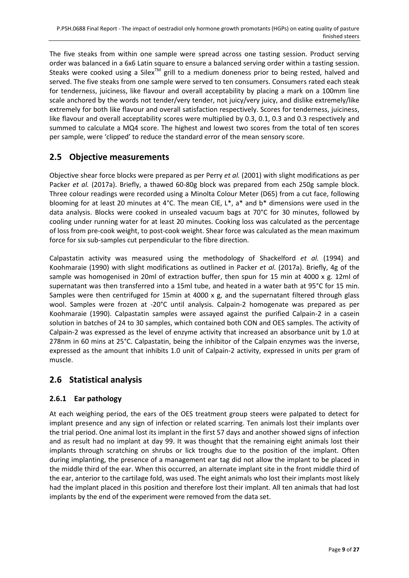The five steaks from within one sample were spread across one tasting session. Product serving order was balanced in a 6x6 Latin square to ensure a balanced serving order within a tasting session. Steaks were cooked using a Silex<sup>TM</sup> grill to a medium doneness prior to being rested, halved and served. The five steaks from one sample were served to ten consumers. Consumers rated each steak for tenderness, juiciness, like flavour and overall acceptability by placing a mark on a 100mm line scale anchored by the words not tender/very tender, not juicy/very juicy, and dislike extremely/like extremely for both like flavour and overall satisfaction respectively. Scores for tenderness, juiciness, like flavour and overall acceptability scores were multiplied by 0.3, 0.1, 0.3 and 0.3 respectively and summed to calculate a MQ4 score. The highest and lowest two scores from the total of ten scores per sample, were 'clipped' to reduce the standard error of the mean sensory score.

## <span id="page-8-0"></span>**2.5 Objective measurements**

Objective shear force blocks were prepared as per Perry *et al.* [\(2001\)](#page-25-6) with slight modifications as per Packer *et al.* [\(2017a\).](#page-25-2) Briefly, a thawed 60-80g block was prepared from each 250g sample block. Three colour readings were recorded using a Minolta Colour Meter (D65) from a cut face, following blooming for at least 20 minutes at 4°C. The mean CIE, L\*, a\* and b\* dimensions were used in the data analysis. Blocks were cooked in unsealed vacuum bags at 70°C for 30 minutes, followed by cooling under running water for at least 20 minutes. Cooking loss was calculated as the percentage of loss from pre-cook weight, to post-cook weight. Shear force was calculated as the mean maximum force for six sub-samples cut perpendicular to the fibre direction.

Calpastatin activity was measured using the methodology of [Shackelford](#page-25-7) *et al.* (1994) and [Koohmaraie \(1990\)](#page-24-10) with slight modifications as outlined in Packer *et al.* [\(2017a\).](#page-25-2) Briefly, 4g of the sample was homogenised in 20ml of extraction buffer, then spun for 15 min at 4000 x g. 12ml of supernatant was then transferred into a 15ml tube, and heated in a water bath at 95°C for 15 min. Samples were then centrifuged for 15min at 4000 x g, and the supernatant filtered through glass wool. Samples were frozen at -20°C until analysis. Calpain-2 homogenate was prepared as per [Koohmaraie \(1990\).](#page-24-10) Calpastatin samples were assayed against the purified Calpain-2 in a casein solution in batches of 24 to 30 samples, which contained both CON and OES samples. The activity of Calpain-2 was expressed as the level of enzyme activity that increased an absorbance unit by 1.0 at 278nm in 60 mins at 25°C. Calpastatin, being the inhibitor of the Calpain enzymes was the inverse, expressed as the amount that inhibits 1.0 unit of Calpain-2 activity, expressed in units per gram of muscle.

#### <span id="page-8-1"></span>**2.6 Statistical analysis**

#### <span id="page-8-2"></span>**2.6.1 Ear pathology**

At each weighing period, the ears of the OES treatment group steers were palpated to detect for implant presence and any sign of infection or related scarring. Ten animals lost their implants over the trial period. One animal lost its implant in the first 57 days and another showed signs of infection and as result had no implant at day 99. It was thought that the remaining eight animals lost their implants through scratching on shrubs or lick troughs due to the position of the implant. Often during implanting, the presence of a management ear tag did not allow the implant to be placed in the middle third of the ear. When this occurred, an alternate implant site in the front middle third of the ear, anterior to the cartilage fold, was used. The eight animals who lost their implants most likely had the implant placed in this position and therefore lost their implant. All ten animals that had lost implants by the end of the experiment were removed from the data set.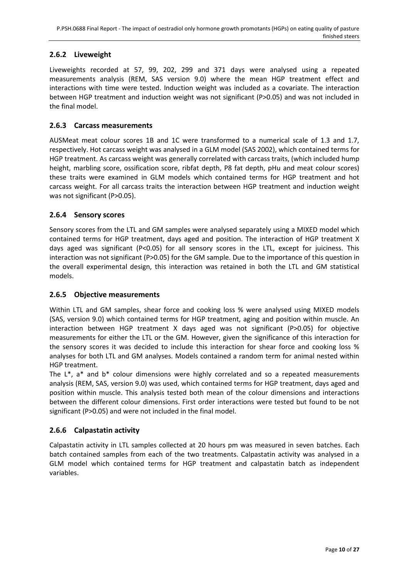#### <span id="page-9-0"></span>**2.6.2 Liveweight**

Liveweights recorded at 57, 99, 202, 299 and 371 days were analysed using a repeated measurements analysis (REM, SAS version 9.0) where the mean HGP treatment effect and interactions with time were tested. Induction weight was included as a covariate. The interaction between HGP treatment and induction weight was not significant (P>0.05) and was not included in the final model.

#### <span id="page-9-1"></span>**2.6.3 Carcass measurements**

AUSMeat meat colour scores 1B and 1C were transformed to a numerical scale of 1.3 and 1.7, respectively. Hot carcass weight was analysed in a GLM model [\(SAS 2002\)](#page-25-8), which contained terms for HGP treatment. As carcass weight was generally correlated with carcass traits, (which included hump height, marbling score, ossification score, ribfat depth, P8 fat depth, pHu and meat colour scores) these traits were examined in GLM models which contained terms for HGP treatment and hot carcass weight. For all carcass traits the interaction between HGP treatment and induction weight was not significant (P>0.05).

#### <span id="page-9-2"></span>**2.6.4 Sensory scores**

Sensory scores from the LTL and GM samples were analysed separately using a MIXED model which contained terms for HGP treatment, days aged and position. The interaction of HGP treatment X days aged was significant (P<0.05) for all sensory scores in the LTL, except for juiciness. This interaction was not significant (P>0.05) for the GM sample. Due to the importance of this question in the overall experimental design, this interaction was retained in both the LTL and GM statistical models.

#### <span id="page-9-3"></span>**2.6.5 Objective measurements**

Within LTL and GM samples, shear force and cooking loss % were analysed using MIXED models (SAS, version 9.0) which contained terms for HGP treatment, aging and position within muscle. An interaction between HGP treatment X days aged was not significant (P>0.05) for objective measurements for either the LTL or the GM. However, given the significance of this interaction for the sensory scores it was decided to include this interaction for shear force and cooking loss % analyses for both LTL and GM analyses. Models contained a random term for animal nested within HGP treatment.

The  $L^*$ , a\* and  $b^*$  colour dimensions were highly correlated and so a repeated measurements analysis (REM, SAS, version 9.0) was used, which contained terms for HGP treatment, days aged and position within muscle. This analysis tested both mean of the colour dimensions and interactions between the different colour dimensions. First order interactions were tested but found to be not significant (P>0.05) and were not included in the final model.

#### <span id="page-9-4"></span>**2.6.6 Calpastatin activity**

Calpastatin activity in LTL samples collected at 20 hours pm was measured in seven batches. Each batch contained samples from each of the two treatments. Calpastatin activity was analysed in a GLM model which contained terms for HGP treatment and calpastatin batch as independent variables.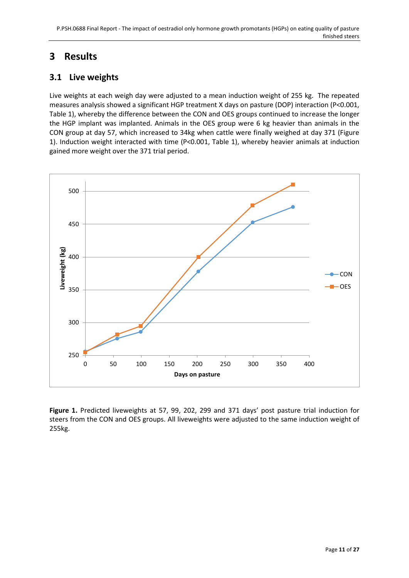## <span id="page-10-0"></span>**3 Results**

## <span id="page-10-1"></span>**3.1 Live weights**

Live weights at each weigh day were adjusted to a mean induction weight of 255 kg. The repeated measures analysis showed a significant HGP treatment X days on pasture (DOP) interaction (P<0.001, Table 1), whereby the difference between the CON and OES groups continued to increase the longer the HGP implant was implanted. Animals in the OES group were 6 kg heavier than animals in the CON group at day 57, which increased to 34kg when cattle were finally weighed at day 371 (Figure 1). Induction weight interacted with time (P<0.001, Table 1), whereby heavier animals at induction gained more weight over the 371 trial period.



**Figure 1.** Predicted liveweights at 57, 99, 202, 299 and 371 days' post pasture trial induction for steers from the CON and OES groups. All liveweights were adjusted to the same induction weight of 255kg.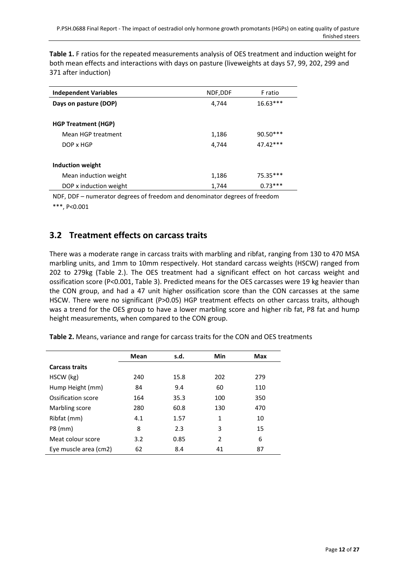**Table 1.** F ratios for the repeated measurements analysis of OES treatment and induction weight for both mean effects and interactions with days on pasture (liveweights at days 57, 99, 202, 299 and 371 after induction)

| <b>Independent Variables</b> | NDF, DDF | F ratio    |
|------------------------------|----------|------------|
| Days on pasture (DOP)        | 4,744    | $16.63***$ |
| <b>HGP Treatment (HGP)</b>   |          |            |
| Mean HGP treatment           | 1,186    | 90.50***   |
| DOP x HGP                    | 4.744    | 47.42***   |
| Induction weight             |          |            |
| Mean induction weight        | 1,186    | 75.35***   |
| DOP x induction weight       | 1,744    | $0.73***$  |

NDF, DDF – numerator degrees of freedom and denominator degrees of freedom

\*\*\*, P<0.001

## <span id="page-11-0"></span>**3.2 Treatment effects on carcass traits**

There was a moderate range in carcass traits with marbling and ribfat, ranging from 130 to 470 MSA marbling units, and 1mm to 10mm respectively. Hot standard carcass weights (HSCW) ranged from 202 to 279kg (Table 2.). The OES treatment had a significant effect on hot carcass weight and ossification score (P<0.001, Table 3). Predicted means for the OES carcasses were 19 kg heavier than the CON group, and had a 47 unit higher ossification score than the CON carcasses at the same HSCW. There were no significant (P>0.05) HGP treatment effects on other carcass traits, although was a trend for the OES group to have a lower marbling score and higher rib fat, P8 fat and hump height measurements, when compared to the CON group.

| Table 2. Means, variance and range for carcass traits for the CON and OES treatments |  |  |  |  |  |  |
|--------------------------------------------------------------------------------------|--|--|--|--|--|--|
|--------------------------------------------------------------------------------------|--|--|--|--|--|--|

|                       | Mean | s.d. | Min           | Max |
|-----------------------|------|------|---------------|-----|
| <b>Carcass traits</b> |      |      |               |     |
| HSCW (kg)             | 240  | 15.8 | 202           | 279 |
| Hump Height (mm)      | 84   | 9.4  | 60            | 110 |
| Ossification score    | 164  | 35.3 | 100           | 350 |
| Marbling score        | 280  | 60.8 | 130           | 470 |
| Ribfat (mm)           | 4.1  | 1.57 | $\mathbf{1}$  | 10  |
| P8 (mm)               | 8    | 2.3  | 3             | 15  |
| Meat colour score     | 3.2  | 0.85 | $\mathcal{P}$ | 6   |
| Eye muscle area (cm2) | 62   | 8.4  | 41            | 87  |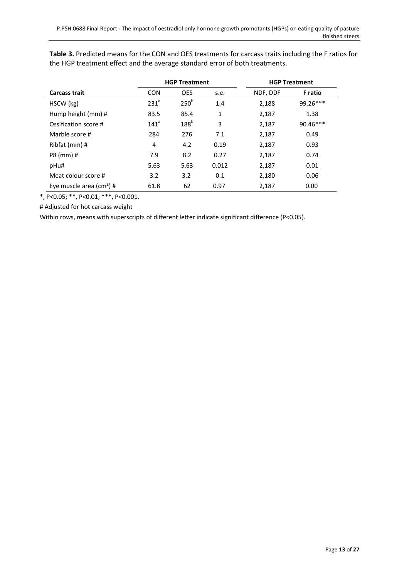|                                      | <b>HGP Treatment</b> |                  |       |          | <b>HGP Treatment</b> |
|--------------------------------------|----------------------|------------------|-------|----------|----------------------|
| <b>Carcass trait</b>                 | <b>CON</b>           | <b>OES</b>       | s.e.  | NDF, DDF | <b>F</b> ratio       |
| HSCW (kg)                            | 231 <sup>a</sup>     | 250 <sup>b</sup> | 1.4   | 2,188    | 99.26***             |
| Hump height (mm) #                   | 83.5                 | 85.4             | 1     | 2,187    | 1.38                 |
| Ossification score #                 | 141 <sup>a</sup>     | $188^b$          | 3     | 2,187    | $90.46***$           |
| Marble score #                       | 284                  | 276              | 7.1   | 2,187    | 0.49                 |
| Ribfat (mm) #                        | 4                    | 4.2              | 0.19  | 2,187    | 0.93                 |
| P8 (mm) #                            | 7.9                  | 8.2              | 0.27  | 2,187    | 0.74                 |
| pHu#                                 | 5.63                 | 5.63             | 0.012 | 2,187    | 0.01                 |
| Meat colour score #                  | 3.2                  | 3.2              | 0.1   | 2,180    | 0.06                 |
| Eye muscle area (cm <sup>2</sup> ) # | 61.8                 | 62               | 0.97  | 2,187    | 0.00                 |

**Table 3.** Predicted means for the CON and OES treatments for carcass traits including the F ratios for the HGP treatment effect and the average standard error of both treatments.

\*, P<0.05; \*\*, P<0.01; \*\*\*, P<0.001.

# Adjusted for hot carcass weight

Within rows, means with superscripts of different letter indicate significant difference (P<0.05).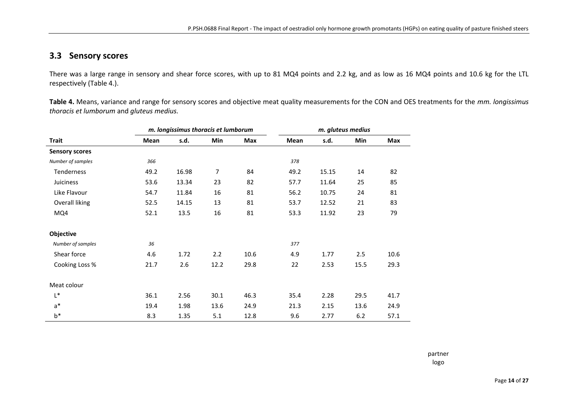#### **3.3 Sensory scores**

There was a large range in sensory and shear force scores, with up to 81 MQ4 points and 2.2 kg, and as low as 16 MQ4 points and 10.6 kg for the LTL respectively (Table 4.).

**Table 4.** Means, variance and range for sensory scores and objective meat quality measurements for the CON and OES treatments for the *mm. longissimus thoracis et lumborum* and *gluteus medius.*

<span id="page-13-0"></span>

|                       |      | m. longissimus thoracis et lumborum |                |      |      |       | m. gluteus medius |      |
|-----------------------|------|-------------------------------------|----------------|------|------|-------|-------------------|------|
| <b>Trait</b>          | Mean | s.d.                                | Min            | Max  | Mean | s.d.  | Min               | Max  |
| <b>Sensory scores</b> |      |                                     |                |      |      |       |                   |      |
| Number of samples     | 366  |                                     |                |      | 378  |       |                   |      |
| Tenderness            | 49.2 | 16.98                               | $\overline{7}$ | 84   | 49.2 | 15.15 | 14                | 82   |
| Juiciness             | 53.6 | 13.34                               | 23             | 82   | 57.7 | 11.64 | 25                | 85   |
| Like Flavour          | 54.7 | 11.84                               | 16             | 81   | 56.2 | 10.75 | 24                | 81   |
| <b>Overall liking</b> | 52.5 | 14.15                               | 13             | 81   | 53.7 | 12.52 | 21                | 83   |
| MQ4                   | 52.1 | 13.5                                | 16             | 81   | 53.3 | 11.92 | 23                | 79   |
| Objective             |      |                                     |                |      |      |       |                   |      |
| Number of samples     | 36   |                                     |                |      | 377  |       |                   |      |
| Shear force           | 4.6  | 1.72                                | 2.2            | 10.6 | 4.9  | 1.77  | 2.5               | 10.6 |
| Cooking Loss %        | 21.7 | 2.6                                 | 12.2           | 29.8 | 22   | 2.53  | 15.5              | 29.3 |
| Meat colour           |      |                                     |                |      |      |       |                   |      |
| $L^*$                 | 36.1 | 2.56                                | 30.1           | 46.3 | 35.4 | 2.28  | 29.5              | 41.7 |
| $a^*$                 | 19.4 | 1.98                                | 13.6           | 24.9 | 21.3 | 2.15  | 13.6              | 24.9 |
| $b^*$                 | 8.3  | 1.35                                | 5.1            | 12.8 | 9.6  | 2.77  | $6.2$             | 57.1 |

partner logo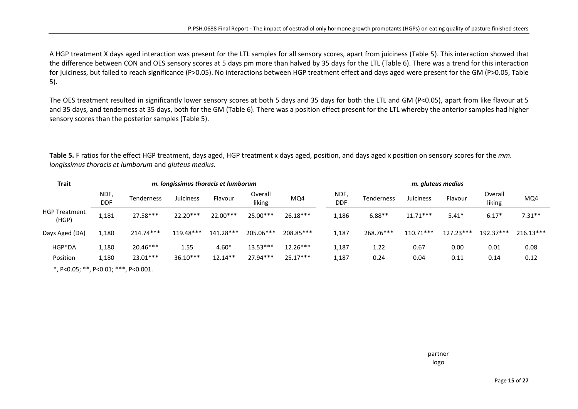A HGP treatment X days aged interaction was present for the LTL samples for all sensory scores, apart from juiciness (Table 5). This interaction showed that the difference between CON and OES sensory scores at 5 days pm more than halved by 35 days for the LTL (Table 6). There was a trend for this interaction for juiciness, but failed to reach significance (P>0.05). No interactions between HGP treatment effect and days aged were present for the GM (P>0.05, Table 5).

The OES treatment resulted in significantly lower sensory scores at both 5 days and 35 days for both the LTL and GM (P<0.05), apart from like flavour at 5 and 35 days, and tenderness at 35 days, both for the GM (Table 6). There was a position effect present for the LTL whereby the anterior samples had higher sensory scores than the posterior samples (Table 5).

| Trait<br>m. Iongissimus thoracis et lumborum |                    |             |            | m. gluteus medius |                   |            |                    |                   |             |           |                   |             |
|----------------------------------------------|--------------------|-------------|------------|-------------------|-------------------|------------|--------------------|-------------------|-------------|-----------|-------------------|-------------|
|                                              | NDF,<br><b>DDF</b> | Tenderness  | Juiciness  | Flavour           | Overall<br>liking | MQ4        | NDF,<br><b>DDF</b> | <b>Tenderness</b> | Juiciness   | Flavour   | Overall<br>liking | MQ4         |
| <b>HGP Treatment</b><br>(HGP)                | 1,181              | 27.58***    | 22.20***   | 22.00***          | 25.00***          | $26.18***$ | 1,186              | $6.88**$          | $11.71***$  | $5.41*$   | $6.17*$           | $7.31**$    |
| Days Aged (DA)                               | 1,180              | $214.74***$ | 119.48***  | 141.28***         | 205.06***         | 208.85***  | 1,187              | 268.76***         | $110.71***$ | 127.23*** | 192.37***         | $216.13***$ |
| HGP*DA                                       | 1,180              | $20.46***$  | 1.55       | $4.60*$           | $13.53***$        | $12.26***$ | 1,187              | 1.22              | 0.67        | 0.00      | 0.01              | 0.08        |
| Position                                     | 1,180              | 23.01***    | $36.10***$ | $12.14**$         | 27.94***          | $25.17***$ | 1,187              | 0.24              | 0.04        | 0.11      | 0.14              | 0.12        |

**Table 5.** F ratios for the effect HGP treatment, days aged, HGP treatment x days aged, position, and days aged x position on sensory scores for the *mm. longissimus thoracis et lumborum* and *gluteus medius.* 

\*, P<0.05; \*\*, P<0.01; \*\*\*, P<0.001.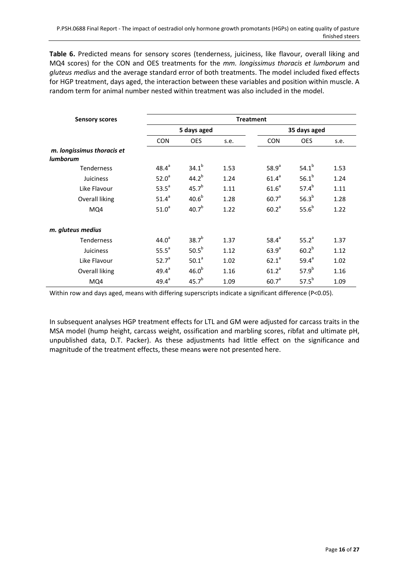**Table 6.** Predicted means for sensory scores (tenderness, juiciness, like flavour, overall liking and MQ4 scores) for the CON and OES treatments for the *mm. longissimus thoracis et lumborum* and *gluteus medius* and the average standard error of both treatments. The model included fixed effects for HGP treatment, days aged, the interaction between these variables and position within muscle. A random term for animal number nested within treatment was also included in the model.

| <b>Sensory scores</b>      |                   |                   | <b>Treatment</b> |                   |                   |      |  |  |  |
|----------------------------|-------------------|-------------------|------------------|-------------------|-------------------|------|--|--|--|
|                            |                   | 5 days aged       |                  |                   | 35 days aged      |      |  |  |  |
|                            | <b>CON</b>        | <b>OES</b>        | s.e.             | <b>CON</b>        | <b>OES</b>        | s.e. |  |  |  |
| m. longissimus thoracis et |                   |                   |                  |                   |                   |      |  |  |  |
| <b>lumborum</b>            |                   |                   |                  |                   |                   |      |  |  |  |
| <b>Tenderness</b>          | $48.4^{a}$        | $34.1^{b}$        | 1.53             | 58.9 <sup>a</sup> | $54.1^{b}$        | 1.53 |  |  |  |
| Juiciness                  | 52.0 <sup>a</sup> | $44.2^{b}$        | 1.24             | 61.4 <sup>a</sup> | 56.1 <sup>b</sup> | 1.24 |  |  |  |
| Like Flavour               | 53.5 <sup>a</sup> | 45.7 <sup>b</sup> | 1.11             | 61.6 <sup>a</sup> | $57.4^{b}$        | 1.11 |  |  |  |
| Overall liking             | 51.4 <sup>a</sup> | 40.6 <sup>b</sup> | 1.28             | 60.7 <sup>a</sup> | 56.3 <sup>b</sup> | 1.28 |  |  |  |
| MQ4                        | 51.0 <sup>a</sup> | 40.7 <sup>b</sup> | 1.22             | 60.2 <sup>a</sup> | $55.6^{b}$        | 1.22 |  |  |  |
| m. gluteus medius          |                   |                   |                  |                   |                   |      |  |  |  |
| <b>Tenderness</b>          | $44.0^a$          | $38.7^{b}$        | 1.37             | 58.4 <sup>a</sup> | 55.2 <sup>a</sup> | 1.37 |  |  |  |
| Juiciness                  | 55.5 <sup>a</sup> | 50.5 <sup>b</sup> | 1.12             | 63.9 <sup>a</sup> | $60.2^{b}$        | 1.12 |  |  |  |
| Like Flavour               | 52.7 <sup>a</sup> | 50.1 <sup>a</sup> | 1.02             | $62.1^a$          | $59.4^{a}$        | 1.02 |  |  |  |
| Overall liking             | $49.4^a$          | 46.0 <sup>b</sup> | 1.16             | 61.2 <sup>a</sup> | $57.9^{b}$        | 1.16 |  |  |  |
| MQ4                        | $49.4^a$          | 45.7 <sup>b</sup> | 1.09             | 60.7 <sup>a</sup> | $57.5^{b}$        | 1.09 |  |  |  |

Within row and days aged, means with differing superscripts indicate a significant difference (P<0.05).

In subsequent analyses HGP treatment effects for LTL and GM were adjusted for carcass traits in the MSA model (hump height, carcass weight, ossification and marbling scores, ribfat and ultimate pH, unpublished data, D.T. Packer). As these adjustments had little effect on the significance and magnitude of the treatment effects, these means were not presented here.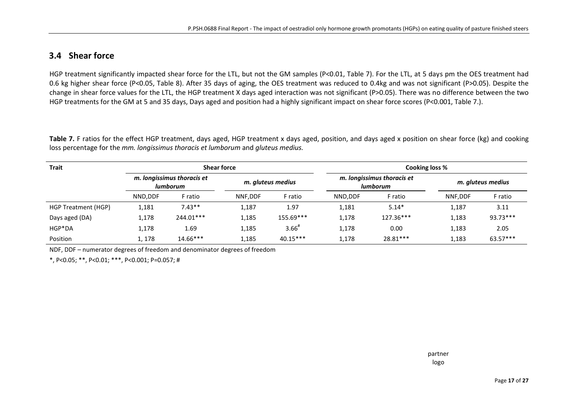#### **3.4 Shear force**

HGP treatment significantly impacted shear force for the LTL, but not the GM samples (P<0.01, Table 7). For the LTL, at 5 days pm the OES treatment had 0.6 kg higher shear force (P<0.05, Table 8). After 35 days of aging, the OES treatment was reduced to 0.4kg and was not significant (P>0.05). Despite the change in shear force values for the LTL, the HGP treatment X days aged interaction was not significant (P>0.05). There was no difference between the two HGP treatments for the GM at 5 and 35 days, Days aged and position had a highly significant impact on shear force scores (P<0.001, Table 7.).

**Table 7.** F ratios for the effect HGP treatment, days aged, HGP treatment x days aged, position, and days aged x position on shear force (kg) and cooking loss percentage for the *mm. longissimus thoracis et lumborum* and *gluteus medius.*

| <b>Trait</b>        |         | <b>Shear force</b>                     |         |                   |         | Cooking loss %                         |         |                   |
|---------------------|---------|----------------------------------------|---------|-------------------|---------|----------------------------------------|---------|-------------------|
|                     |         | m. longissimus thoracis et<br>lumborum |         | m. gluteus medius |         | m. Iongissimus thoracis et<br>lumborum |         | m. gluteus medius |
|                     | NND.DDF | F ratio                                | NNF.DDF | F ratio           | NND.DDF | F ratio                                | NNF.DDF | F ratio           |
| HGP Treatment (HGP) | 1,181   | $7.43**$                               | 1,187   | 1.97              | 1,181   | $5.14*$                                | 1,187   | 3.11              |
| Days aged (DA)      | 1,178   | 244.01***                              | 1,185   | 155.69***         | 1,178   | 127.36***                              | 1,183   | 93.73***          |
| HGP*DA              | 1,178   | 1.69                                   | 1,185   | 3.66              | 1,178   | 0.00                                   | 1,183   | 2.05              |
| Position            | 1,178   | $14.66***$                             | 1,185   | 40.15***          | 1,178   | 28.81***                               | 1,183   | $63.57***$        |

<span id="page-16-0"></span>NDF, DDF – numerator degrees of freedom and denominator degrees of freedom

\*, P<0.05; \*\*, P<0.01; \*\*\*, P<0.001; P=0.057; #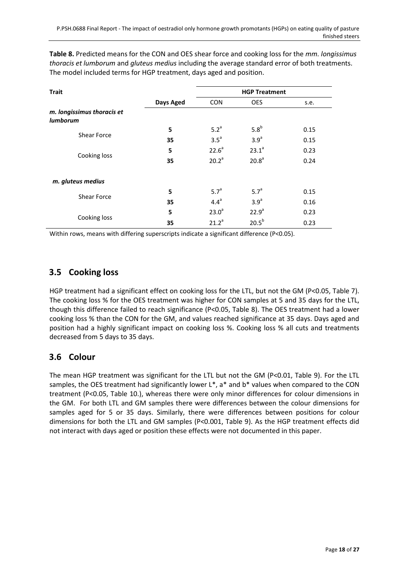**Table 8.** Predicted means for the CON and OES shear force and cooking loss for the *mm. longissimus thoracis et lumborum* and *gluteus medius* including the average standard error of both treatments. The model included terms for HGP treatment, days aged and position.

| <b>Trait</b>                                  |           |                   | <b>HGP Treatment</b> |      |
|-----------------------------------------------|-----------|-------------------|----------------------|------|
|                                               | Days Aged | <b>CON</b>        | <b>OES</b>           | s.e. |
| m. longissimus thoracis et<br><b>lumborum</b> |           |                   |                      |      |
|                                               | 5         | 5.2 <sup>a</sup>  | 5.8 <sup>b</sup>     | 0.15 |
| <b>Shear Force</b>                            | 35        | $3.5^a$           | 3.9 <sup>a</sup>     | 0.15 |
|                                               | 5         | 22.6 <sup>a</sup> | 23.1 <sup>a</sup>    | 0.23 |
| Cooking loss                                  | 35        | 20.2 <sup>a</sup> | 20.8 <sup>a</sup>    | 0.24 |
| m. gluteus medius                             |           |                   |                      |      |
| <b>Shear Force</b>                            | 5         | 5.7 <sup>a</sup>  | 5.7 <sup>a</sup>     | 0.15 |
|                                               | 35        | $4.4^a$           | 3.9 <sup>a</sup>     | 0.16 |
| Cooking loss                                  | 5         | 23.0 <sup>a</sup> | 22.9 <sup>a</sup>    | 0.23 |
|                                               | 35        | $21.2^a$          | 20.5 <sup>b</sup>    | 0.23 |

Within rows, means with differing superscripts indicate a significant difference (P<0.05).

#### <span id="page-17-0"></span>**3.5 Cooking loss**

HGP treatment had a significant effect on cooking loss for the LTL, but not the GM (P<0.05, Table 7). The cooking loss % for the OES treatment was higher for CON samples at 5 and 35 days for the LTL, though this difference failed to reach significance (P<0.05, Table 8). The OES treatment had a lower cooking loss % than the CON for the GM, and values reached significance at 35 days. Days aged and position had a highly significant impact on cooking loss %. Cooking loss % all cuts and treatments decreased from 5 days to 35 days.

#### <span id="page-17-1"></span>**3.6 Colour**

The mean HGP treatment was significant for the LTL but not the GM (P<0.01, Table 9). For the LTL samples, the OES treatment had significantly lower  $L^*$ ,  $a^*$  and  $b^*$  values when compared to the CON treatment (P<0.05, Table 10.), whereas there were only minor differences for colour dimensions in the GM. For both LTL and GM samples there were differences between the colour dimensions for samples aged for 5 or 35 days. Similarly, there were differences between positions for colour dimensions for both the LTL and GM samples (P<0.001, Table 9). As the HGP treatment effects did not interact with days aged or position these effects were not documented in this paper.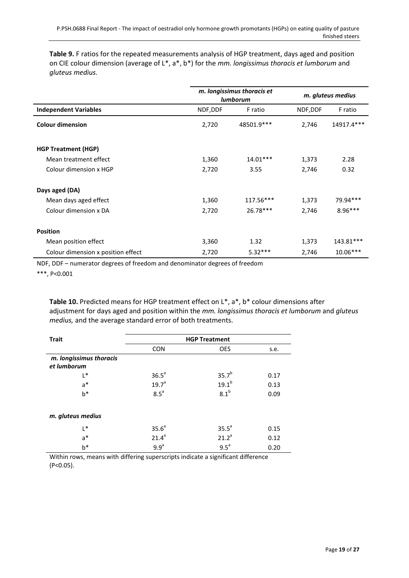**Table 9.** F ratios for the repeated measurements analysis of HGP treatment, days aged and position on CIE colour dimension (average of L\*, a\*, b\*) for the *mm. longissimus thoracis et lumborum* and *gluteus medius.*

|                                    |          | m. longissimus thoracis et<br><b>lumborum</b> |          | m. gluteus medius |  |
|------------------------------------|----------|-----------------------------------------------|----------|-------------------|--|
| <b>Independent Variables</b>       | NDF, DDF | F ratio                                       | NDF, DDF | F ratio           |  |
| <b>Colour dimension</b>            | 2,720    | 48501.9***                                    | 2,746    | 14917.4***        |  |
| <b>HGP Treatment (HGP)</b>         |          |                                               |          |                   |  |
| Mean treatment effect              | 1,360    | $14.01***$                                    | 1,373    | 2.28              |  |
| Colour dimension x HGP             | 2,720    | 3.55                                          | 2,746    | 0.32              |  |
| Days aged (DA)                     |          |                                               |          |                   |  |
| Mean days aged effect              | 1,360    | $117.56***$                                   | 1,373    | 79.94***          |  |
| Colour dimension x DA              | 2,720    | $26.78***$                                    | 2,746    | $8.96***$         |  |
| <b>Position</b>                    |          |                                               |          |                   |  |
| Mean position effect               | 3,360    | 1.32                                          | 1,373    | 143.81***         |  |
| Colour dimension x position effect | 2,720    | $5.32***$                                     | 2,746    | $10.06***$        |  |

NDF, DDF – numerator degrees of freedom and denominator degrees of freedom

\*\*\*, P<0.001

**Table 10.** Predicted means for HGP treatment effect on L\*, a\*, b\* colour dimensions after adjustment for days aged and position within the *mm. longissimus thoracis et lumborum* and *gluteus medius,* and the average standard error of both treatments.

| <b>Trait</b>                           |                   | <b>HGP Treatment</b> |      |
|----------------------------------------|-------------------|----------------------|------|
|                                        | <b>CON</b>        | <b>OES</b>           | s.e. |
| m. longissimus thoracis<br>et lumborum |                   |                      |      |
| L*                                     | 36.5 <sup>a</sup> | $35.7^{b}$           | 0.17 |
| $a^*$                                  | 19.7 <sup>a</sup> | $19.1^{b}$           | 0.13 |
| $b^*$                                  | 8.5 <sup>a</sup>  | 8.1 <sup>b</sup>     | 0.09 |
| m. gluteus medius                      |                   |                      |      |
| L*                                     | 35.6 <sup>a</sup> | 35.5 <sup>a</sup>    | 0.15 |
| $a^*$                                  | 21.4 <sup>a</sup> | 21.2 <sup>a</sup>    | 0.12 |
| $b*$                                   | 9.9 <sup>a</sup>  | $9.5^{\circ}$        | 0.20 |

Within rows, means with differing superscripts indicate a significant difference (P<0.05).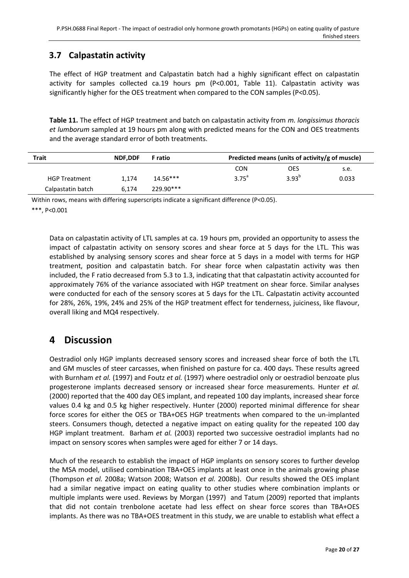## <span id="page-19-0"></span>**3.7 Calpastatin activity**

The effect of HGP treatment and Calpastatin batch had a highly significant effect on calpastatin activity for samples collected ca.19 hours pm (P<0.001, Table 11). Calpastatin activity was significantly higher for the OES treatment when compared to the CON samples (P<0.05).

**Table 11.** The effect of HGP treatment and batch on calpastatin activity from *m. longissimus thoracis et lumborum* sampled at 19 hours pm along with predicted means for the CON and OES treatments and the average standard error of both treatments.

| <b>Trait</b>         | <b>NDF.DDF</b> | <b>F</b> ratio | Predicted means (units of activity/g of muscle) |                |       |
|----------------------|----------------|----------------|-------------------------------------------------|----------------|-------|
|                      |                |                | <b>CON</b>                                      | OES            | s.e.  |
| <b>HGP Treatment</b> | 1.174          | $14.56***$     | 3.75 <sup>a</sup>                               | $3.93^{\circ}$ | 0.033 |
| Calpastatin batch    | 6.174          | 229.90***      |                                                 |                |       |

Within rows, means with differing superscripts indicate a significant difference (P<0.05).

\*\*\*, P<0.001

Data on calpastatin activity of LTL samples at ca. 19 hours pm, provided an opportunity to assess the impact of calpastatin activity on sensory scores and shear force at 5 days for the LTL. This was established by analysing sensory scores and shear force at 5 days in a model with terms for HGP treatment, position and calpastatin batch. For shear force when calpastatin activity was then included, the F ratio decreased from 5.3 to 1.3, indicating that that calpastatin activity accounted for approximately 76% of the variance associated with HGP treatment on shear force. Similar analyses were conducted for each of the sensory scores at 5 days for the LTL. Calpastatin activity accounted for 28%, 26%, 19%, 24% and 25% of the HGP treatment effect for tenderness, juiciness, like flavour, overall liking and MQ4 respectively.

## <span id="page-19-1"></span>**4 Discussion**

Oestradiol only HGP implants decreased sensory scores and increased shear force of both the LTL and GM muscles of steer carcasses, when finished on pasture for ca. 400 days. These results agreed with [Burnham](#page-24-2) *et al.* (1997) and Foutz *et al.* [\(1997\)](#page-24-3) where oestradiol only or oestradiol benzoate plus progesterone implants decreased sensory or increased shear force measurements. [Hunter](#page-24-6) *et al.* (2000) reported that the 400 day OES implant, and repeated 100 day implants, increased shear force values 0.4 kg and 0.5 kg higher respectively. [Hunter \(2000\)](#page-24-5) reported minimal difference for shear force scores for either the OES or TBA+OES HGP treatments when compared to the un-implanted steers. Consumers though, detected a negative impact on eating quality for the repeated 100 day HGP implant treatment. [Barham](#page-24-11) *et al.* (2003) reported two successive oestradiol implants had no impact on sensory scores when samples were aged for either 7 or 14 days.

Much of the research to establish the impact of HGP implants on sensory scores to further develop the MSA model, utilised combination TBA+OES implants at least once in the animals growing phase [\(Thompson](#page-26-3) *et al.* 2008a; [Watson 2008;](#page-26-0) [Watson](#page-26-6) *et al.* 2008b). Our results showed the OES implant had a similar negative impact on eating quality to other studies where combination implants or multiple implants were used. Reviews by [Morgan \(1997\)](#page-25-9) and [Tatum \(2009\)](#page-25-10) reported that implants that did not contain trenbolone acetate had less effect on shear force scores than TBA+OES implants. As there was no TBA+OES treatment in this study, we are unable to establish what effect a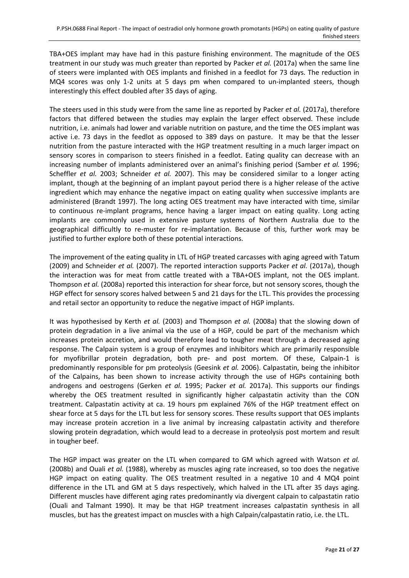TBA+OES implant may have had in this pasture finishing environment. The magnitude of the OES treatment in our study was much greater than reported by Packer *et al.* [\(2017a\)](#page-25-2) when the same line of steers were implanted with OES implants and finished in a feedlot for 73 days. The reduction in MQ4 scores was only 1-2 units at 5 days pm when compared to un-implanted steers, though interestingly this effect doubled after 35 days of aging.

The steers used in this study were from the same line as reported by Packer *et al.* [\(2017a\),](#page-25-2) therefore factors that differed between the studies may explain the larger effect observed. These include nutrition, i.e. animals had lower and variable nutrition on pasture, and the time the OES implant was active i.e. 73 days in the feedlot as opposed to 389 days on pasture. It may be that the lesser nutrition from the pasture interacted with the HGP treatment resulting in a much larger impact on sensory scores in comparison to steers finished in a feedlot. Eating quality can decrease with an increasing number of implants administered over an animal's finishing period [\(Samber](#page-25-11) *et al.* 1996; [Scheffler](#page-25-12) *et al.* 2003; [Schneider](#page-25-4) *et al.* 2007). This may be considered similar to a longer acting implant, though at the beginning of an implant payout period there is a higher release of the active ingredient which may enhance the negative impact on eating quality when successive implants are administered [\(Brandt 1997\)](#page-24-12). The long acting OES treatment may have interacted with time, similar to continuous re-implant programs, hence having a larger impact on eating quality. Long acting implants are commonly used in extensive pasture systems of Northern Australia due to the geographical difficultly to re-muster for re-implantation. Because of this, further work may be justified to further explore both of these potential interactions.

The improvement of the eating quality in LTL of HGP treated carcasses with aging agreed wit[h Tatum](#page-25-10)  (2009) and [Schneider](#page-25-4) *et al.* (2007). The reported interaction supports Packer *et al.* [\(2017a\),](#page-25-2) though the interaction was for meat from cattle treated with a TBA+OES implant, not the OES implant. [Thompson](#page-26-3) *et al.* (2008a) reported this interaction for shear force, but not sensory scores, though the HGP effect for sensory scores halved between 5 and 21 days for the LTL. This provides the processing and retail sector an opportunity to reduce the negative impact of HGP implants.

It was hypothesised by Kerth *et al.* [\(2003\)](#page-24-7) and [Thompson](#page-26-3) *et al.* (2008a) that the slowing down of protein degradation in a live animal via the use of a HGP, could be part of the mechanism which increases protein accretion, and would therefore lead to tougher meat through a decreased aging response. The Calpain system is a group of enzymes and inhibitors which are primarily responsible for myofibrillar protein degradation, both pre- and post mortem. Of these, Calpain-1 is predominantly responsible for pm proteolysis [\(Geesink](#page-24-13) *et al.* 2006). Calpastatin, being the inhibitor of the Calpains, has been shown to increase activity through the use of HGPs containing both androgens and oestrogens [\(Gerken](#page-24-8) *et al.* 1995; [Packer](#page-25-2) *et al.* 2017a). This supports our findings whereby the OES treatment resulted in significantly higher calpastatin activity than the CON treatment. Calpastatin activity at ca. 19 hours pm explained 76% of the HGP treatment effect on shear force at 5 days for the LTL but less for sensory scores. These results support that OES implants may increase protein accretion in a live animal by increasing calpastatin activity and therefore slowing protein degradation, which would lead to a decrease in proteolysis post mortem and result in tougher beef.

The HGP impact was greater on the LTL when compared to GM which agreed with [Watson](#page-26-6) *et al.* (2008b) and Ouali *et al.* [\(1988\),](#page-25-5) whereby as muscles aging rate increased, so too does the negative HGP impact on eating quality. The OES treatment resulted in a negative 10 and 4 MQ4 point difference in the LTL and GM at 5 days respectively, which halved in the LTL after 35 days aging. Different muscles have different aging rates predominantly via divergent calpain to calpastatin ratio [\(Ouali and Talmant 1990\)](#page-25-13). It may be that HGP treatment increases calpastatin synthesis in all muscles, but has the greatest impact on muscles with a high Calpain/calpastatin ratio, i.e. the LTL.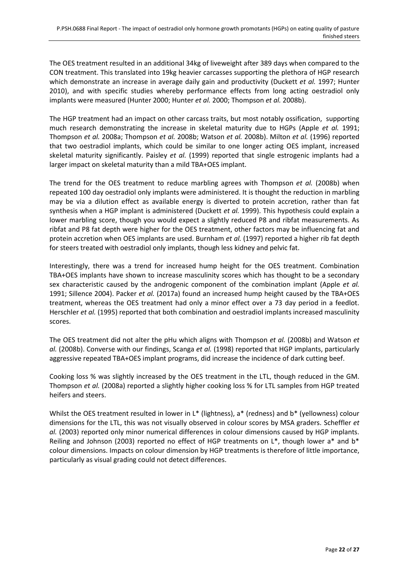The OES treatment resulted in an additional 34kg of liveweight after 389 days when compared to the CON treatment. This translated into 19kg heavier carcasses supporting the plethora of HGP research which demonstrate an increase in average daily gain and productivity [\(Duckett](#page-24-14) *et al.* 1997; [Hunter](#page-24-15)  [2010\)](#page-24-15), and with specific studies whereby performance effects from long acting oestradiol only implants were measured [\(Hunter 2000;](#page-24-5) [Hunter](#page-24-6) *et al.* 2000; [Thompson](#page-26-2) *et al.* 2008b).

The HGP treatment had an impact on other carcass traits, but most notably ossification, supporting much research demonstrating the increase in skeletal maturity due to HGPs [\(Apple](#page-24-16) *et al.* 1991; [Thompson](#page-26-3) *et al.* 2008a; [Thompson](#page-26-2) *et al.* 2008b; [Watson](#page-26-6) *et al.* 2008b). [Milton](#page-25-14) *et al.* (1996) reported that two oestradiol implants, which could be similar to one longer acting OES implant, increased skeletal maturity significantly. [Paisley](#page-25-15) *et al.* (1999) reported that single estrogenic implants had a larger impact on skeletal maturity than a mild TBA+OES implant.

The trend for the OES treatment to reduce marbling agrees with [Thompson](#page-26-2) *et al.* (2008b) when repeated 100 day oestradiol only implants were administered. It is thought the reduction in marbling may be via a dilution effect as available energy is diverted to protein accretion, rather than fat synthesis when a HGP implant is administered [\(Duckett](#page-24-17) *et al.* 1999). This hypothesis could explain a lower marbling score, though you would expect a slightly reduced P8 and ribfat measurements. As ribfat and P8 fat depth were higher for the OES treatment, other factors may be influencing fat and protein accretion when OES implants are used. [Burnham](#page-24-2) *et al.* (1997) reported a higher rib fat depth for steers treated with oestradiol only implants, though less kidney and pelvic fat.

Interestingly, there was a trend for increased hump height for the OES treatment. Combination TBA+OES implants have shown to increase masculinity scores which has thought to be a secondary sex characteristic caused by the androgenic component of the combination implant [\(Apple](#page-24-16) *et al.* [1991;](#page-24-16) [Sillence 2004\)](#page-25-16). Packer *et al.* [\(2017a\)](#page-25-2) found an increased hump height caused by the TBA+OES treatment, whereas the OES treatment had only a minor effect over a 73 day period in a feedlot. [Herschler](#page-24-18) *et al.* (1995) reported that both combination and oestradiol implants increased masculinity scores.

The OES treatment did not alter the pHu which aligns with [Thompson](#page-26-2) *et al.* (2008b) and [Watson](#page-26-6) *et al.* (2008b). Converse with our findings, [Scanga](#page-25-17) *et al.* (1998) reported that HGP implants, particularly aggressive repeated TBA+OES implant programs, did increase the incidence of dark cutting beef.

Cooking loss % was slightly increased by the OES treatment in the LTL, though reduced in the GM. [Thompson](#page-26-3) *et al.* (2008a) reported a slightly higher cooking loss % for LTL samples from HGP treated heifers and steers.

Whilst the OES treatment resulted in lower in L\* (lightness), a\* (redness) and b\* (yellowness) colour dimensions for the LTL, this was not visually observed in colour scores by MSA graders. [Scheffler](#page-25-12) *et al.* (2003) reported only minor numerical differences in colour dimensions caused by HGP implants. [Reiling and Johnson \(2003\)](#page-25-18) reported no effect of HGP treatments on L\*, though lower a\* and b\* colour dimensions. Impacts on colour dimension by HGP treatments is therefore of little importance, particularly as visual grading could not detect differences.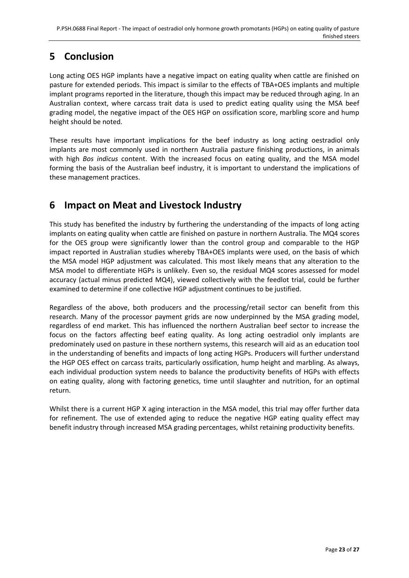## <span id="page-22-0"></span>**5 Conclusion**

Long acting OES HGP implants have a negative impact on eating quality when cattle are finished on pasture for extended periods. This impact is similar to the effects of TBA+OES implants and multiple implant programs reported in the literature, though this impact may be reduced through aging. In an Australian context, where carcass trait data is used to predict eating quality using the MSA beef grading model, the negative impact of the OES HGP on ossification score, marbling score and hump height should be noted.

These results have important implications for the beef industry as long acting oestradiol only implants are most commonly used in northern Australia pasture finishing productions, in animals with high *Bos indicus* content. With the increased focus on eating quality, and the MSA model forming the basis of the Australian beef industry, it is important to understand the implications of these management practices.

## <span id="page-22-1"></span>**6 Impact on Meat and Livestock Industry**

This study has benefited the industry by furthering the understanding of the impacts of long acting implants on eating quality when cattle are finished on pasture in northern Australia. The MQ4 scores for the OES group were significantly lower than the control group and comparable to the HGP impact reported in Australian studies whereby TBA+OES implants were used, on the basis of which the MSA model HGP adjustment was calculated. This most likely means that any alteration to the MSA model to differentiate HGPs is unlikely. Even so, the residual MQ4 scores assessed for model accuracy (actual minus predicted MQ4), viewed collectively with the feedlot trial, could be further examined to determine if one collective HGP adjustment continues to be justified.

Regardless of the above, both producers and the processing/retail sector can benefit from this research. Many of the processor payment grids are now underpinned by the MSA grading model, regardless of end market. This has influenced the northern Australian beef sector to increase the focus on the factors affecting beef eating quality. As long acting oestradiol only implants are predominately used on pasture in these northern systems, this research will aid as an education tool in the understanding of benefits and impacts of long acting HGPs. Producers will further understand the HGP OES effect on carcass traits, particularly ossification, hump height and marbling. As always, each individual production system needs to balance the productivity benefits of HGPs with effects on eating quality, along with factoring genetics, time until slaughter and nutrition, for an optimal return.

<span id="page-22-2"></span>Whilst there is a current HGP X aging interaction in the MSA model, this trial may offer further data for refinement. The use of extended aging to reduce the negative HGP eating quality effect may benefit industry through increased MSA grading percentages, whilst retaining productivity benefits.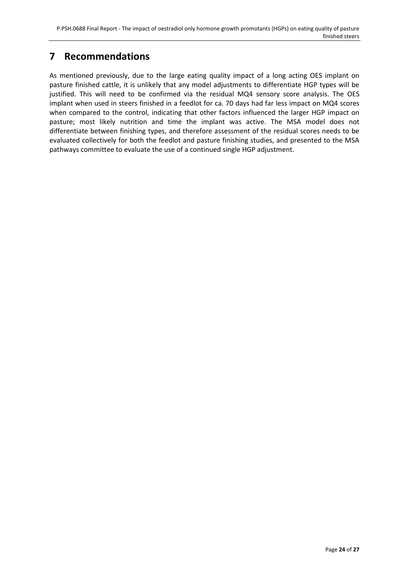## **7 Recommendations**

As mentioned previously, due to the large eating quality impact of a long acting OES implant on pasture finished cattle, it is unlikely that any model adjustments to differentiate HGP types will be justified. This will need to be confirmed via the residual MQ4 sensory score analysis. The OES implant when used in steers finished in a feedlot for ca. 70 days had far less impact on MQ4 scores when compared to the control, indicating that other factors influenced the larger HGP impact on pasture; most likely nutrition and time the implant was active. The MSA model does not differentiate between finishing types, and therefore assessment of the residual scores needs to be evaluated collectively for both the feedlot and pasture finishing studies, and presented to the MSA pathways committee to evaluate the use of a continued single HGP adjustment.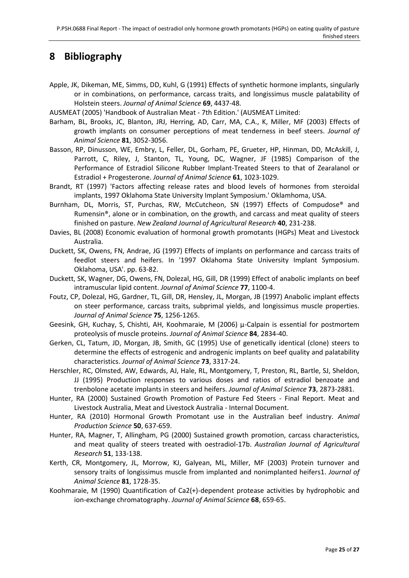## <span id="page-24-1"></span>**8 Bibliography**

- <span id="page-24-16"></span>Apple, JK, Dikeman, ME, Simms, DD, Kuhl, G (1991) Effects of synthetic hormone implants, singularly or in combinations, on performance, carcass traits, and longissimus muscle palatability of Holstein steers. *Journal of Animal Science* **69**, 4437-48.
- <span id="page-24-9"></span>AUSMEAT (2005) 'Handbook of Australian Meat - 7th Edition.' (AUSMEAT Limited:
- <span id="page-24-11"></span>Barham, BL, Brooks, JC, Blanton, JRJ, Herring, AD, Carr, MA, C.A., K, Miller, MF (2003) Effects of growth implants on consumer perceptions of meat tenderness in beef steers. *Journal of Animal Science* **81**, 3052-3056.
- <span id="page-24-4"></span>Basson, RP, Dinusson, WE, Embry, L, Feller, DL, Gorham, PE, Grueter, HP, Hinman, DD, McAskill, J, Parrott, C, Riley, J, Stanton, TL, Young, DC, Wagner, JF (1985) Comparison of the Performance of Estradiol Silicone Rubber Implant-Treated Steers to that of Zearalanol or Estradiol + Progesterone. *Journal of Animal Science* **61**, 1023-1029.
- <span id="page-24-12"></span>Brandt, RT (1997) 'Factors affecting release rates and blood levels of hormones from steroidal implants, 1997 Oklahoma State University Implant Symposium.' Oklamhoma, USA.
- <span id="page-24-2"></span>Burnham, DL, Morris, ST, Purchas, RW, McCutcheon, SN (1997) Effects of Compudose® and Rumensin®, alone or in combination, on the growth, and carcass and meat quality of steers finished on pasture. *New Zealand Journal of Agricultural Research* **40**, 231-238.
- <span id="page-24-0"></span>Davies, BL (2008) Economic evaluation of hormonal growth promotants (HGPs) Meat and Livestock Australia.
- <span id="page-24-14"></span>Duckett, SK, Owens, FN, Andrae, JG (1997) Effects of implants on performance and carcass traits of feedlot steers and heifers. In '1997 Oklahoma State University Implant Symposium. Oklahoma, USA'. pp. 63-82.
- <span id="page-24-17"></span>Duckett, SK, Wagner, DG, Owens, FN, Dolezal, HG, Gill, DR (1999) Effect of anabolic implants on beef intramuscular lipid content. *Journal of Animal Science* **77**, 1100-4.
- <span id="page-24-3"></span>Foutz, CP, Dolezal, HG, Gardner, TL, Gill, DR, Hensley, JL, Morgan, JB (1997) Anabolic implant effects on steer performance, carcass traits, subprimal yields, and longissimus muscle properties. *Journal of Animal Science* **75**, 1256-1265.
- <span id="page-24-13"></span>Geesink, GH, Kuchay, S, Chishti, AH, Koohmaraie, M (2006) μ-Calpain is essential for postmortem proteolysis of muscle proteins. *Journal of Animal Science* **84**, 2834-40.
- <span id="page-24-8"></span>Gerken, CL, Tatum, JD, Morgan, JB, Smith, GC (1995) Use of genetically identical (clone) steers to determine the effects of estrogenic and androgenic implants on beef quality and palatability characteristics. *Journal of Animal Science* **73**, 3317-24.
- <span id="page-24-18"></span>Herschler, RC, Olmsted, AW, Edwards, AJ, Hale, RL, Montgomery, T, Preston, RL, Bartle, SJ, Sheldon, JJ (1995) Production responses to various doses and ratios of estradiol benzoate and trenbolone acetate implants in steers and heifers. *Journal of Animal Science* **73**, 2873-2881.
- <span id="page-24-5"></span>Hunter, RA (2000) Sustained Growth Promotion of Pasture Fed Steers - Final Report. Meat and Livestock Australia, Meat and Livestock Australia - Internal Document.
- <span id="page-24-15"></span>Hunter, RA (2010) Hormonal Growth Promotant use in the Australian beef industry. *Animal Production Science* **50**, 637-659.
- <span id="page-24-6"></span>Hunter, RA, Magner, T, Allingham, PG (2000) Sustained growth promotion, carcass characteristics, and meat quality of steers treated with oestradiol-17b. *Australian Journal of Agricultural Research* **51**, 133-138.
- <span id="page-24-7"></span>Kerth, CR, Montgomery, JL, Morrow, KJ, Galyean, ML, Miller, MF (2003) Protein turnover and sensory traits of longissimus muscle from implanted and nonimplanted heifers1. *Journal of Animal Science* **81**, 1728-35.
- <span id="page-24-10"></span>Koohmaraie, M (1990) Quantification of Ca2(+)-dependent protease activities by hydrophobic and ion-exchange chromatography. *Journal of Animal Science* **68**, 659-65.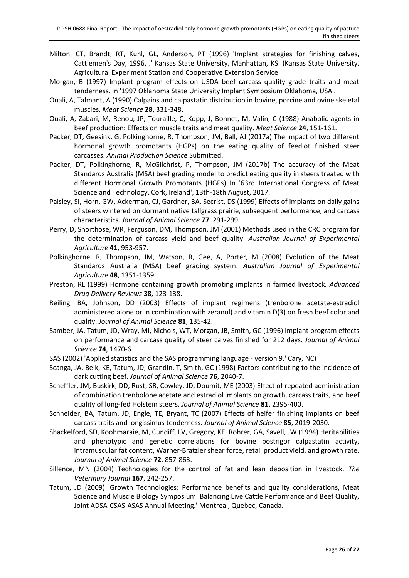- <span id="page-25-14"></span>Milton, CT, Brandt, RT, Kuhl, GL, Anderson, PT (1996) 'Implant strategies for finishing calves, Cattlemen's Day, 1996, .' Kansas State University, Manhattan, KS. (Kansas State University. Agricultural Experiment Station and Cooperative Extension Service:
- <span id="page-25-9"></span>Morgan, B (1997) Implant program effects on USDA beef carcass quality grade traits and meat tenderness. In '1997 Oklahoma State University Implant Symposium Oklahoma, USA'.
- <span id="page-25-13"></span>Ouali, A, Talmant, A (1990) Calpains and calpastatin distribution in bovine, porcine and ovine skeletal muscles. *Meat Science* **28**, 331-348.
- <span id="page-25-5"></span>Ouali, A, Zabari, M, Renou, JP, Touraille, C, Kopp, J, Bonnet, M, Valin, C (1988) Anabolic agents in beef production: Effects on muscle traits and meat quality. *Meat Science* **24**, 151-161.
- <span id="page-25-2"></span>Packer, DT, Geesink, G, Polkinghorne, R, Thompson, JM, Ball, AJ (2017a) The impact of two different hormonal growth promotants (HGPs) on the eating quality of feedlot finished steer carcasses. *Animal Production Science* Submitted.
- <span id="page-25-3"></span>Packer, DT, Polkinghorne, R, McGilchrist, P, Thompson, JM (2017b) The accuracy of the Meat Standards Australia (MSA) beef grading model to predict eating quality in steers treated with different Hormonal Growth Promotants (HGPs) In '63rd International Congress of Meat Science and Technology. Cork, Ireland', 13th-18th August, 2017.
- <span id="page-25-15"></span>Paisley, SI, Horn, GW, Ackerman, CJ, Gardner, BA, Secrist, DS (1999) Effects of implants on daily gains of steers wintered on dormant native tallgrass prairie, subsequent performance, and carcass characteristics. *Journal of Animal Science* **77**, 291-299.
- <span id="page-25-6"></span>Perry, D, Shorthose, WR, Ferguson, DM, Thompson, JM (2001) Methods used in the CRC program for the determination of carcass yield and beef quality. *Australian Journal of Experimental Agriculture* **41**, 953-957.
- <span id="page-25-1"></span>Polkinghorne, R, Thompson, JM, Watson, R, Gee, A, Porter, M (2008) Evolution of the Meat Standards Australia (MSA) beef grading system. *Australian Journal of Experimental Agriculture* **48**, 1351-1359.
- <span id="page-25-0"></span>Preston, RL (1999) Hormone containing growth promoting implants in farmed livestock. *Advanced Drug Delivery Reviews* **38**, 123-138.
- <span id="page-25-18"></span>Reiling, BA, Johnson, DD (2003) Effects of implant regimens (trenbolone acetate-estradiol administered alone or in combination with zeranol) and vitamin D(3) on fresh beef color and quality. *Journal of Animal Science* **81**, 135-42.
- <span id="page-25-11"></span>Samber, JA, Tatum, JD, Wray, MI, Nichols, WT, Morgan, JB, Smith, GC (1996) Implant program effects on performance and carcass quality of steer calves finished for 212 days. *Journal of Animal Science* **74**, 1470-6.
- <span id="page-25-8"></span>SAS (2002) 'Applied statistics and the SAS programming language - version 9.' Cary, NC)
- <span id="page-25-17"></span>Scanga, JA, Belk, KE, Tatum, JD, Grandin, T, Smith, GC (1998) Factors contributing to the incidence of dark cutting beef. *Journal of Animal Science* **76**, 2040-7.
- <span id="page-25-12"></span>Scheffler, JM, Buskirk, DD, Rust, SR, Cowley, JD, Doumit, ME (2003) Effect of repeated administration of combination trenbolone acetate and estradiol implants on growth, carcass traits, and beef quality of long-fed Holstein steers. *Journal of Animal Science* **81**, 2395-400.
- <span id="page-25-4"></span>Schneider, BA, Tatum, JD, Engle, TE, Bryant, TC (2007) Effects of heifer finishing implants on beef carcass traits and longissimus tenderness. *Journal of Animal Science* **85**, 2019-2030.
- <span id="page-25-7"></span>Shackelford, SD, Koohmaraie, M, Cundiff, LV, Gregory, KE, Rohrer, GA, Savell, JW (1994) Heritabilities and phenotypic and genetic correlations for bovine postrigor calpastatin activity, intramuscular fat content, Warner-Bratzler shear force, retail product yield, and growth rate. *Journal of Animal Science* **72**, 857-863.
- <span id="page-25-16"></span>Sillence, MN (2004) Technologies for the control of fat and lean deposition in livestock. *The Veterinary Journal* **167**, 242-257.
- <span id="page-25-10"></span>Tatum, JD (2009) 'Growth Technologies: Performance benefits and quality considerations, Meat Science and Muscle Biology Symposium: Balancing Live Cattle Performance and Beef Quality, Joint ADSA-CSAS-ASAS Annual Meeting.' Montreal, Quebec, Canada.